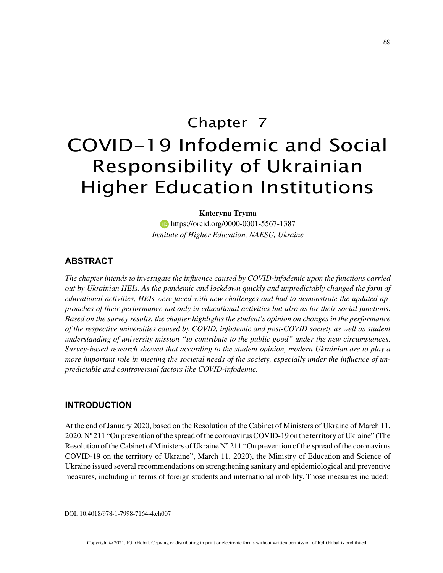# Chapter 7 COVID-19 Infodemic and Social Responsibility of Ukrainian Higher Education Institutions

#### **Kateryna Tryma**

 https://orcid.org/0000-0001-5567-1387 *Institute of Higher Education, NAESU, Ukraine*

### **ABSTRACT**

*The chapter intends to investigate the influence caused by COVID-infodemic upon the functions carried out by Ukrainian HEIs. As the pandemic and lockdown quickly and unpredictably changed the form of educational activities, HEIs were faced with new challenges and had to demonstrate the updated approaches of their performance not only in educational activities but also as for their social functions. Based on the survey results, the chapter highlights the student's opinion on changes in the performance of the respective universities caused by COVID, infodemic and post-COVID society as well as student understanding of university mission "to contribute to the public good" under the new circumstances. Survey-based research showed that according to the student opinion, modern Ukrainian are to play a more important role in meeting the societal needs of the society, especially under the influence of unpredictable and controversial factors like COVID-infodemic.*

## **INTRODUCTION**

At the end of January 2020, based on the Resolution of the Cabinet of Ministers of Ukraine of March 11, 2020, Nº 211 "On prevention of the spread of the coronavirus COVID-19 on the territory of Ukraine" (The Resolution of the Cabinet of Ministers of Ukraine Nº 211 "On prevention of the spread of the coronavirus COVID-19 on the territory of Ukraine", March 11, 2020), the Ministry of Education and Science of Ukraine issued several recommendations on strengthening sanitary and epidemiological and preventive measures, including in terms of foreign students and international mobility. Those measures included:

DOI: 10.4018/978-1-7998-7164-4.ch007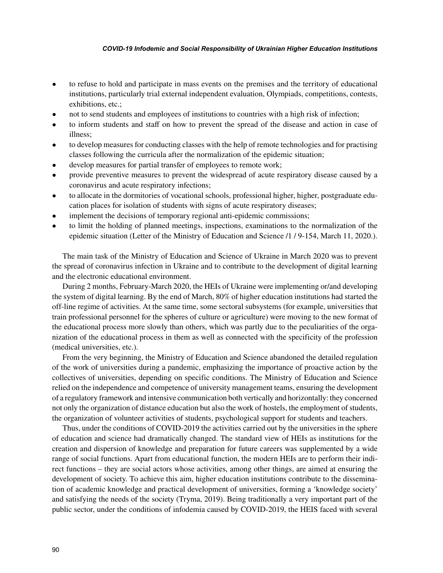#### *COVID-19 Infodemic and Social Responsibility of Ukrainian Higher Education Institutions*

- to refuse to hold and participate in mass events on the premises and the territory of educational institutions, particularly trial external independent evaluation, Olympiads, competitions, contests, exhibitions, etc.;
- not to send students and employees of institutions to countries with a high risk of infection;
- to inform students and staff on how to prevent the spread of the disease and action in case of illness;
- to develop measures for conducting classes with the help of remote technologies and for practising classes following the curricula after the normalization of the epidemic situation;
- develop measures for partial transfer of employees to remote work;
- provide preventive measures to prevent the widespread of acute respiratory disease caused by a coronavirus and acute respiratory infections;
- to allocate in the dormitories of vocational schools, professional higher, higher, postgraduate education places for isolation of students with signs of acute respiratory diseases;
- implement the decisions of temporary regional anti-epidemic commissions;
- to limit the holding of planned meetings, inspections, examinations to the normalization of the epidemic situation (Letter of the Ministry of Education and Science /1 / 9-154, March 11, 2020.).

The main task of the Ministry of Education and Science of Ukraine in March 2020 was to prevent the spread of coronavirus infection in Ukraine and to contribute to the development of digital learning and the electronic educational environment.

During 2 months, February-March 2020, the HEIs of Ukraine were implementing or/and developing the system of digital learning. By the end of March, 80% of higher education institutions had started the off-line regime of activities. At the same time, some sectoral subsystems (for example, universities that train professional personnel for the spheres of culture or agriculture) were moving to the new format of the educational process more slowly than others, which was partly due to the peculiarities of the organization of the educational process in them as well as connected with the specificity of the profession (medical universities, etc.).

From the very beginning, the Ministry of Education and Science abandoned the detailed regulation of the work of universities during a pandemic, emphasizing the importance of proactive action by the collectives of universities, depending on specific conditions. The Ministry of Education and Science relied on the independence and competence of university management teams, ensuring the development of a regulatory framework and intensive communication both vertically and horizontally: they concerned not only the organization of distance education but also the work of hostels, the employment of students, the organization of volunteer activities of students, psychological support for students and teachers.

Thus, under the conditions of COVID-2019 the activities carried out by the universities in the sphere of education and science had dramatically changed. The standard view of HEIs as institutions for the creation and dispersion of knowledge and preparation for future careers was supplemented by a wide range of social functions. Apart from educational function, the modern HEIs are to perform their indirect functions – they are social actors whose activities, among other things, are aimed at ensuring the development of society. To achieve this aim, higher education institutions contribute to the dissemination of academic knowledge and practical development of universities, forming a 'knowledge society' and satisfying the needs of the society (Tryma, 2019). Being traditionally a very important part of the public sector, under the conditions of infodemia caused by COVID-2019, the HEIS faced with several